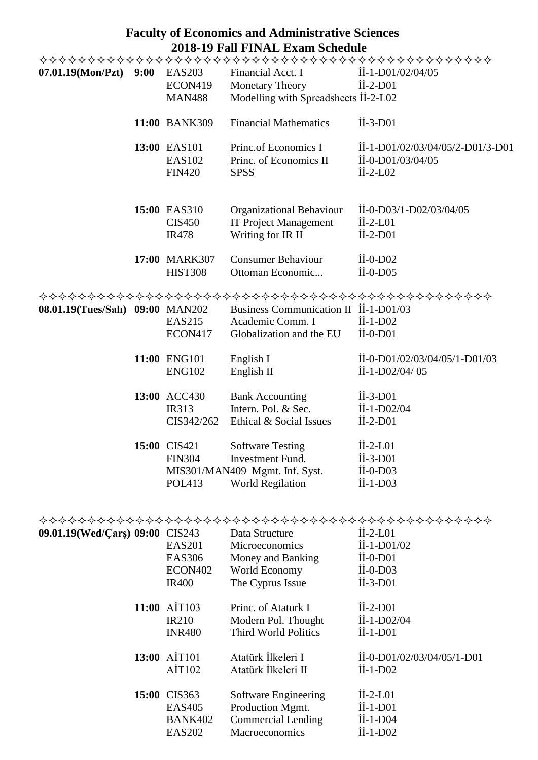## **Faculty of Economics and Administrative Sciences 2018-19 Fall FINAL Exam Schedule**

| 07.01.19(Mon/Pzt) 9:00           | <b>EAS203</b>                                  | Financial Acct. I                                                                                        | İİ-1-D01/02/04/05                                                                                                 |
|----------------------------------|------------------------------------------------|----------------------------------------------------------------------------------------------------------|-------------------------------------------------------------------------------------------------------------------|
|                                  | <b>ECON419</b>                                 | <b>Monetary Theory</b>                                                                                   | $\text{II}-2-\text{D}01$                                                                                          |
|                                  | <b>MAN488</b>                                  | Modelling with Spreadsheets II-2-L02                                                                     |                                                                                                                   |
|                                  | 11:00 BANK309                                  | <b>Financial Mathematics</b>                                                                             | $\text{II}-3-\text{D}01$                                                                                          |
|                                  | 13:00 EAS101<br><b>EAS102</b><br><b>FIN420</b> | Princ.of Economics I<br>Princ. of Economics II<br><b>SPSS</b>                                            | $\dot{\text{II}}$ -1-D01/02/03/04/05/2-D01/3-D01<br>$\text{II}-\text{O}-\text{D}01/03/04/05$<br>$\text{II-2-L02}$ |
|                                  | 15:00 EAS310<br><b>CIS450</b><br><b>IR478</b>  | Organizational Behaviour<br><b>IT Project Management</b><br>Writing for IR II                            | $\text{II}-0-\text{D}03/1-\text{D}02/03/04/05$<br>$\text{II}-2-\text{LO}1$<br>$\text{II}-2-\text{D}01$            |
|                                  | 17:00 MARK307<br><b>HIST308</b>                | <b>Consumer Behaviour</b><br>Ottoman Economic                                                            | $\overline{11}$ -0-D02<br>$\dot{\text{II}}$ -0-D05                                                                |
|                                  |                                                |                                                                                                          |                                                                                                                   |
| 08.01.19(Tues/Salı) 09:00 MAN202 |                                                | Business Communication II II-1-D01/03                                                                    |                                                                                                                   |
|                                  | <b>EAS215</b>                                  | Academic Comm. I                                                                                         | $\text{II}-1-\text{D}02$                                                                                          |
|                                  | ECON417                                        | Globalization and the EU                                                                                 | $\text{II}-0-\text{D}01$                                                                                          |
|                                  | 11:00 ENG101<br><b>ENG102</b>                  | English I<br>English II                                                                                  | II-0-D01/02/03/04/05/1-D01/03<br>$\text{II} - 1 - \text{D}02/04/05$                                               |
|                                  | 13:00 ACC430<br><b>IR313</b><br>CIS342/262     | <b>Bank Accounting</b><br>Intern. Pol. & Sec.<br>Ethical & Social Issues                                 | $\text{II}-3-\text{D}01$<br>$\dot{\text{II}}$ -1-D02/04<br>$\text{II-2-D}01$                                      |
|                                  | 15:00 CIS421<br><b>FIN304</b><br><b>POL413</b> | <b>Software Testing</b><br>Investment Fund.<br>MIS301/MAN409 Mgmt. Inf. Syst.<br><b>World Regilation</b> | $\text{II}-2-\text{LO}1$<br>İİ-3-D01<br>$\text{II}-0-\text{D}03$<br>$\overline{1}$ I-1-D03                        |

| 09.01.19(Wed/Cars) 09:00 CIS243 | <b>EAS201</b><br><b>EAS306</b><br>ECON402<br><b>IR400</b> | Data Structure<br>Microeconomics<br>Money and Banking<br>World Economy<br>The Cyprus Issue | $II-2-L01$<br>$\dot{\text{II}}$ -1-D01/02<br>$II-0-D01$<br>$\text{II}-0-\text{D}03$<br>$\text{II}-3-\text{D}01$ |
|---------------------------------|-----------------------------------------------------------|--------------------------------------------------------------------------------------------|-----------------------------------------------------------------------------------------------------------------|
| 11:00                           | AIT103                                                    | Princ. of Ataturk I                                                                        | $\text{II-2-D}01$                                                                                               |
|                                 | <b>IR210</b>                                              | Modern Pol. Thought                                                                        | $\dot{\text{II}}$ -1-D02/04                                                                                     |
|                                 | <b>INR480</b>                                             | Third World Politics                                                                       | $\text{II}-1-\text{D}01$                                                                                        |
|                                 | 13:00 AIT101                                              | Atatürk İlkeleri I                                                                         | $\text{II}-\text{O}-\text{D}01/02/03/04/05/1-\text{D}01$                                                        |
|                                 | AIT102                                                    | Atatürk İlkeleri II                                                                        | $\overline{11} - 1 - \overline{D02}$                                                                            |
|                                 | 15:00 CIS363                                              | Software Engineering                                                                       | $\text{II-2-L01}$                                                                                               |
|                                 | <b>EAS405</b>                                             | Production Mgmt.                                                                           | $II-1-D01$                                                                                                      |
|                                 | <b>BANK402</b>                                            | <b>Commercial Lending</b>                                                                  | $\text{II}-1-\text{D}04$                                                                                        |
|                                 | <b>EAS202</b>                                             | <b>Macroeconomics</b>                                                                      | $II-1-D02$                                                                                                      |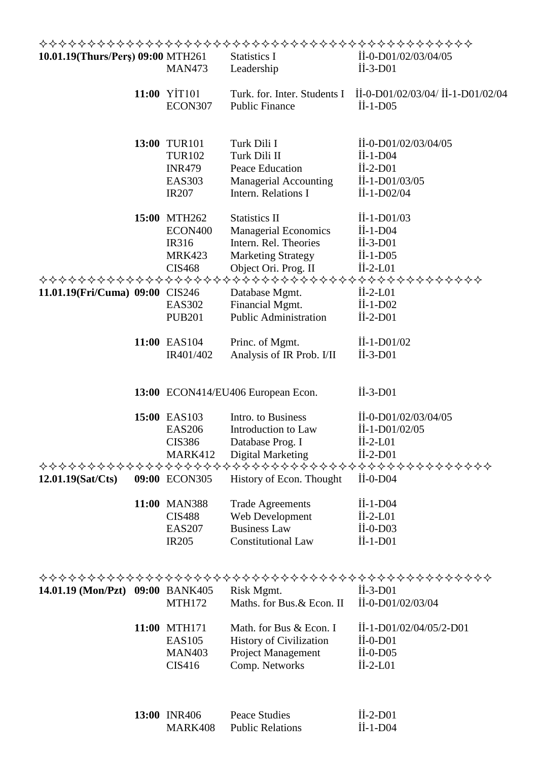| 10.01.19(Thurs/Pers) 09:00 MTH261 | <b>MAN473</b>                                                                   | <b>Statistics I</b><br>Leadership                                                                                                 | $\text{II}-0-\text{D}01/02/03/04/05$<br>$\text{II}-3-\text{D}01$                                                                                       |
|-----------------------------------|---------------------------------------------------------------------------------|-----------------------------------------------------------------------------------------------------------------------------------|--------------------------------------------------------------------------------------------------------------------------------------------------------|
|                                   | 11:00 YİT101<br>ECON307                                                         | Turk. for. Inter. Students I<br><b>Public Finance</b>                                                                             | İİ-0-D01/02/03/04/ İİ-1-D01/02/04<br>$\overline{\text{II}}$ -1-D05                                                                                     |
|                                   | 13:00 TUR101<br><b>TUR102</b><br><b>INR479</b><br><b>EAS303</b><br><b>IR207</b> | Turk Dili I<br>Turk Dili II<br>Peace Education<br><b>Managerial Accounting</b><br>Intern. Relations I                             | $\text{II}-0-\text{D}01/02/03/04/05$<br>$\text{II}-1-\text{D}04$<br>$\text{II-2-D}01$<br>$\text{II}-1-\text{D}01/03/05$<br>$\dot{\text{II}}$ -1-D02/04 |
|                                   | 15:00 MTH262<br>ECON400<br>IR316<br><b>MRK423</b><br><b>CIS468</b>              | <b>Statistics II</b><br><b>Managerial Economics</b><br>Intern. Rel. Theories<br><b>Marketing Strategy</b><br>Object Ori. Prog. II | $\text{II} - 1 - \text{D}01/03$<br>$\overline{1}$ <i>i</i> -1-D04<br>$\overline{11}$ -3-D01<br>$\text{II}-1-\text{D}05$<br>$\text{II}-2-\text{LO}1$    |
| 11.01.19(Fri/Cuma) 09:00 CIS246   | <b>EAS302</b><br><b>PUB201</b>                                                  | Database Mgmt.<br>Financial Mgmt.<br><b>Public Administration</b>                                                                 | $\text{II}-2-\text{LO}1$<br>$\text{II}-1-\text{D}02$<br>$\text{II-2-D}01$                                                                              |
|                                   | 11:00 EAS104<br>IR401/402                                                       | Princ. of Mgmt.<br>Analysis of IR Prob. I/II                                                                                      | $\text{II} - 1 - \text{D}01/02$<br>$\overline{11} - 3 - \overline{D01}$                                                                                |
|                                   |                                                                                 | 13:00 ECON414/EU406 European Econ.                                                                                                | $\text{II}-3-\text{D}01$                                                                                                                               |
|                                   | 15:00 EAS103<br><b>EAS206</b><br><b>CIS386</b><br>MARK412                       | Intro. to Business<br>Introduction to Law<br>Database Prog. I<br>Digital Marketing                                                | II-0-D01/02/03/04/05<br>$\text{II} - 1 - \text{D}01/02/05$<br>$\text{II}-2-\text{LO}1$<br>$\text{II-2-D}01$                                            |
| $12.01.19$ (Sat/Cts)              | 09:00 ECON305                                                                   | History of Econ. Thought                                                                                                          | $\text{II}-0-\text{D}04$                                                                                                                               |
|                                   | 11:00 MAN388<br><b>CIS488</b><br><b>EAS207</b><br><b>IR205</b>                  | <b>Trade Agreements</b><br>Web Development<br><b>Business Law</b><br><b>Constitutional Law</b>                                    | $\overline{1}$ I-1-D04<br>$\text{II-2-L01}$<br>$\dot{\text{II}}$ -0-D03<br>$\overline{1}$ I-1-D01                                                      |
| 14.01.19 (Mon/Pzt) 09:00 BANK405  | <b>MTH172</b>                                                                   | Risk Mgmt.<br>Maths. for Bus. & Econ. II                                                                                          | $\text{II}-3-\text{D}01$<br>İİ-0-D01/02/03/04                                                                                                          |
|                                   | 11:00 MTH171<br><b>EAS105</b><br><b>MAN403</b><br><b>CIS416</b>                 | Math. for Bus & Econ. I<br><b>History of Civilization</b><br><b>Project Management</b><br>Comp. Networks                          | İİ-1-D01/02/04/05/2-D01<br>$\text{II}-0-\text{D}01$<br>$\dot{\text{II}}$ -0-D05<br>$II-2-L01$                                                          |
|                                   | 13:00 INR406<br><b>MARK408</b>                                                  | <b>Peace Studies</b><br><b>Public Relations</b>                                                                                   | $\text{II-2-D}01$<br>$\text{II}-1-\text{D}04$                                                                                                          |